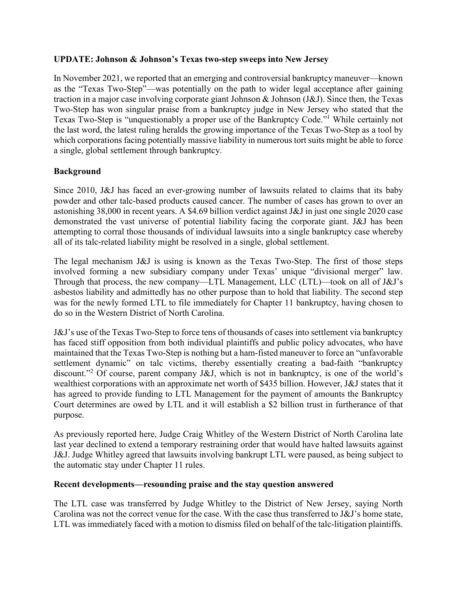## **UPDATE: Johnson & Johnson's Texas two-step sweeps into New Jersey**

In November 2021, we reported that an emerging and controversial bankruptcy maneuver—known as the "Texas Two-Step"—was potentially on the path to wider legal acceptance after gaining traction in a major case involving corporate giant Johnson & Johnson (J&J). Since then, the Texas Two-Step has won singular praise from a bankruptcy judge in New Jersey who stated that the Texas Two-Step is "unquestionably a proper use of the Bankruptcy Code."<sup>1</sup> While certainly not the last word, the latest ruling heralds the growing importance of the Texas Two-Step as a tool by which corporations facing potentially massive liability in numerous tort suits might be able to force a single, global settlement through bankruptcy.

## **Background**

Since 2010, J&J has faced an ever-growing number of lawsuits related to claims that its baby powder and other talc-based products caused cancer. The number of cases has grown to over an astonishing 38,000 in recent years. A \$4.69 billion verdict against J&J in just one single 2020 case demonstrated the vast universe of potential liability facing the corporate giant. J&J has been attempting to corral those thousands of individual lawsuits into a single bankruptcy case whereby all of its talc-related liability might be resolved in a single, global settlement.

The legal mechanism J&J is using is known as the Texas Two-Step. The first of those steps involved forming a new subsidiary company under Texas' unique "divisional merger" law. Through that process, the new company—LTL Management, LLC (LTL)—took on all of J&J's asbestos liability and admittedly has no other purpose than to hold that liability. The second step was for the newly formed LTL to file immediately for Chapter 11 bankruptcy, having chosen to do so in the Western District of North Carolina.

J&J's use of the Texas Two-Step to force tens of thousands of cases into settlement via bankruptcy has faced stiff opposition from both individual plaintiffs and public policy advocates, who have maintained that the Texas Two-Step is nothing but a ham-fisted maneuver to force an "unfavorable settlement dynamic" on talc victims, thereby essentially creating a bad-faith "bankruptcy discount."<sup>2</sup> Of course, parent company J&J, which is not in bankruptcy, is one of the world's wealthiest corporations with an approximate net worth of \$435 billion. However, J&J states that it has agreed to provide funding to LTL Management for the payment of amounts the Bankruptcy Court determines are owed by LTL and it will establish a \$2 billion trust in furtherance of that purpose.

As previously reported here, Judge Craig Whitley of the Western District of North Carolina late last year declined to extend a temporary restraining order that would have halted lawsuits against J&J. Judge Whitley agreed that lawsuits involving bankrupt LTL were paused, as being subject to the automatic stay under Chapter 11 rules.

## **Recent developments—resounding praise and the stay question answered**

The LTL case was transferred by Judge Whitley to the District of New Jersey, saying North Carolina was not the correct venue for the case. With the case thus transferred to J&J's home state, LTL was immediately faced with a motion to dismiss filed on behalf of the talc-litigation plaintiffs.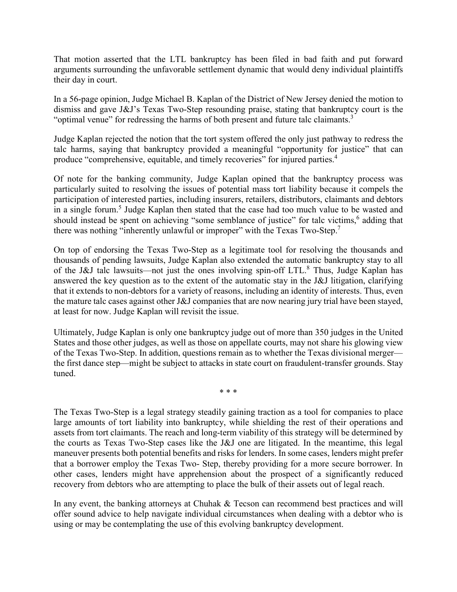That motion asserted that the LTL bankruptcy has been filed in bad faith and put forward arguments surrounding the unfavorable settlement dynamic that would deny individual plaintiffs their day in court.

In a 56-page opinion, Judge Michael B. Kaplan of the District of New Jersey denied the motion to dismiss and gave J&J's Texas Two-Step resounding praise, stating that bankruptcy court is the "optimal venue" for redressing the harms of both present and future talc claimants. $3$ 

Judge Kaplan rejected the notion that the tort system offered the only just pathway to redress the talc harms, saying that bankruptcy provided a meaningful "opportunity for justice" that can produce "comprehensive, equitable, and timely recoveries" for injured parties.<sup>4</sup>

Of note for the banking community, Judge Kaplan opined that the bankruptcy process was particularly suited to resolving the issues of potential mass tort liability because it compels the participation of interested parties, including insurers, retailers, distributors, claimants and debtors in a single forum.<sup>5</sup> Judge Kaplan then stated that the case had too much value to be wasted and should instead be spent on achieving "some semblance of justice" for talc victims,<sup>6</sup> adding that there was nothing "inherently unlawful or improper" with the Texas Two-Step.<sup>7</sup>

On top of endorsing the Texas Two-Step as a legitimate tool for resolving the thousands and thousands of pending lawsuits, Judge Kaplan also extended the automatic bankruptcy stay to all of the J&J talc lawsuits—not just the ones involving spin-off LTL.<sup>8</sup> Thus, Judge Kaplan has answered the key question as to the extent of the automatic stay in the J&J litigation, clarifying that it extends to non-debtors for a variety of reasons, including an identity of interests. Thus, even the mature talc cases against other J&J companies that are now nearing jury trial have been stayed, at least for now. Judge Kaplan will revisit the issue.

Ultimately, Judge Kaplan is only one bankruptcy judge out of more than 350 judges in the United States and those other judges, as well as those on appellate courts, may not share his glowing view of the Texas Two-Step. In addition, questions remain as to whether the Texas divisional merger the first dance step—might be subject to attacks in state court on fraudulent-transfer grounds. Stay tuned.

\* \* \*

The Texas Two-Step is a legal strategy steadily gaining traction as a tool for companies to place large amounts of tort liability into bankruptcy, while shielding the rest of their operations and assets from tort claimants. The reach and long-term viability of this strategy will be determined by the courts as Texas Two-Step cases like the J&J one are litigated. In the meantime, this legal maneuver presents both potential benefits and risks for lenders. In some cases, lenders might prefer that a borrower employ the Texas Two- Step, thereby providing for a more secure borrower. In other cases, lenders might have apprehension about the prospect of a significantly reduced recovery from debtors who are attempting to place the bulk of their assets out of legal reach.

In any event, the banking attorneys at Chuhak & Tecson can recommend best practices and will offer sound advice to help navigate individual circumstances when dealing with a debtor who is using or may be contemplating the use of this evolving bankruptcy development.